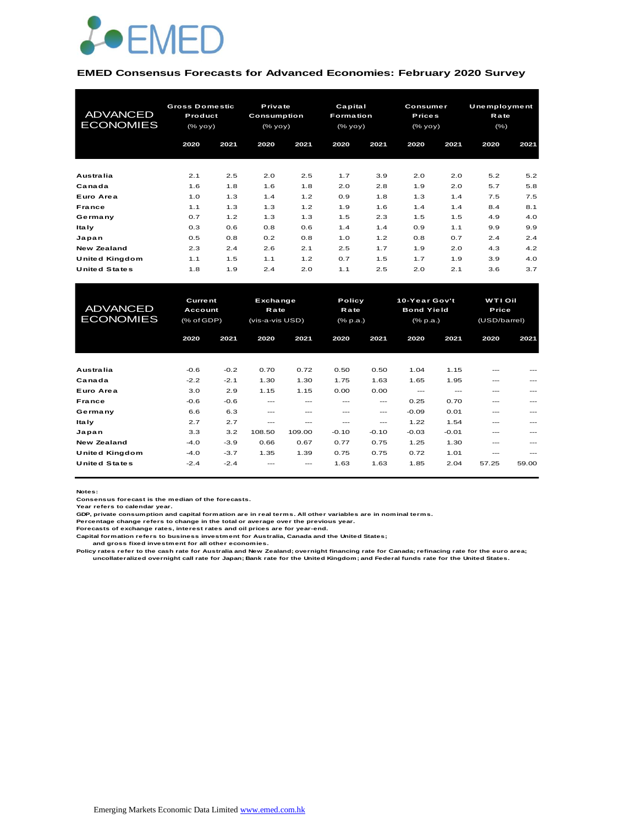

#### **EMED Consensus Forecasts for Advanced Economies: February 2020 Survey**

| <b>ADVANCED</b><br><b>ECONOMIES</b> | <b>Gross Domestic</b><br>Product<br>(% yoy) |      | Private<br>Consumption<br>(% yoy) |      | Capital<br><b>Formation</b><br>(% |      | <b>Consumer</b><br><b>Prices</b><br>(% yoy) |      | Unemployment<br>Rate<br>$(\% )$ |      |
|-------------------------------------|---------------------------------------------|------|-----------------------------------|------|-----------------------------------|------|---------------------------------------------|------|---------------------------------|------|
|                                     | 2020                                        | 2021 | 2020                              | 2021 | 2020                              | 2021 | 2020                                        | 2021 | 2020                            | 2021 |
| Australia                           | 2.1                                         | 2.5  | 2.0                               | 2.5  | 1.7                               | 3.9  | 2.0                                         | 2.0  | 5.2                             | 5.2  |
| Canada                              | 1.6                                         | 1.8  | 1.6                               | 1.8  | 2.0                               | 2.8  | 1.9                                         | 2.0  | 5.7                             | 5.8  |
| Euro Area                           | 1.0                                         | 1.3  | 1.4                               | 1.2  | 0.9                               | 1.8  | 1.3                                         | 1.4  | 7.5                             | 7.5  |
| <b>France</b>                       | 1.1                                         | 1.3  | 1.3                               | 1.2  | 1.9                               | 1.6  | 1.4                                         | 1.4  | 8.4                             | 8.1  |
| Germany                             | 0.7                                         | 1.2  | 1.3                               | 1.3  | 1.5                               | 2.3  | 1.5                                         | 1.5  | 4.9                             | 4.0  |
| ltaly                               | 0.3                                         | 0.6  | 0.8                               | 0.6  | 1.4                               | 1.4  | 0.9                                         | 1.1  | 9.9                             | 9.9  |
| Japan                               | 0.5                                         | 0.8  | 0.2                               | 0.8  | 1.0                               | 1.2  | 0.8                                         | 0.7  | 2.4                             | 2.4  |
| <b>New Zealand</b>                  | 2.3                                         | 2.4  | 2.6                               | 2.1  | 2.5                               | 1.7  | 1.9                                         | 2.0  | 4.3                             | 4.2  |
| United Kingdom                      | 1.1                                         | 1.5  | 1.1                               | 1.2  | 0.7                               | 1.5  | 1.7                                         | 1.9  | 3.9                             | 4.0  |
| <b>United States</b>                | 1.8                                         | 1.9  | 2.4                               | 2.0  | 1.1                               | 2.5  | 2.0                                         | 2.1  | 3.6                             | 3.7  |

| United Kingdom       | 1.1               | 1.5    | 1.1             | 1.2     | 0.7             | 1.5     | 1.7               | 1.9     | 3.9            | 4.0   |  |
|----------------------|-------------------|--------|-----------------|---------|-----------------|---------|-------------------|---------|----------------|-------|--|
| <b>United States</b> | 1.8               | 1.9    | 2.4             | 2.0     | 1.1             | 2.5     | 2.0               | 2.1     | 3.6            | 3.7   |  |
|                      |                   |        |                 |         |                 |         |                   |         |                |       |  |
|                      | <b>Current</b>    |        | Exchange        |         | Policy          |         | 10-Year Gov't     |         | <b>WTI Oil</b> |       |  |
| <b>ADVANCED</b>      | Account           |        | <b>Rate</b>     |         | Rate            |         | <b>Bond Yield</b> |         | Price          |       |  |
| <b>ECONOMIES</b>     | $(%$ $(*$ of GDP) |        | (vis-a-vis USD) |         | $(%$ $(% p.a.)$ |         | (% p.a.)          |         | (USD/barrel)   |       |  |
|                      |                   |        |                 |         |                 |         |                   |         |                |       |  |
|                      | 2020              | 2021   | 2020            | 2021    | 2020            | 2021    | 2020              | 2021    | 2020           | 2021  |  |
|                      |                   |        |                 |         |                 |         |                   |         |                |       |  |
| Australia            | $-0.6$            | $-0.2$ | 0.70            | 0.72    | 0.50            | 0.50    | 1.04              | 1.15    |                |       |  |
| Canada               | $-2.2$            | $-2.1$ | 1.30            | 1.30    | 1.75            | 1.63    | 1.65              | 1.95    | ---            |       |  |
| Euro Area            | 3.0               | 2.9    | 1.15            | 1.15    | 0.00            | 0.00    | $---$             | $---$   | ---            | ---   |  |
| <b>France</b>        | $-0.6$            | $-0.6$ | $---$           | ---     | ---             | $---$   | 0.25              | 0.70    | ---            |       |  |
| Germany              | 6.6               | 6.3    | $- - -$         | $- - -$ | $- - -$         | ---     | $-0.09$           | 0.01    | ---            | ---   |  |
| <b>Italy</b>         | 2.7               | 2.7    | $- - -$         | ---     | ---             | ---     | 1.22              | 1.54    | ---            |       |  |
| Japan                | 3.3               | 3.2    | 108.50          | 109.00  | $-0.10$         | $-0.10$ | $-0.03$           | $-0.01$ | ---            | ---   |  |
| <b>New Zealand</b>   | $-4.0$            | $-3.9$ | 0.66            | 0.67    | 0.77            | 0.75    | 1.25              | 1.30    | ---            |       |  |
| United Kingdom       | $-4.0$            | $-3.7$ | 1.35            | 1.39    | 0.75            | 0.75    | 0.72              | 1.01    | ---            | ---   |  |
| <b>United States</b> | $-2.4$            | $-2.4$ |                 |         | 1.63            | 1.63    | 1.85              | 2.04    | 57.25          | 59.00 |  |
|                      |                   |        |                 |         |                 |         |                   |         |                |       |  |

**Notes:** 

**Consensus forecast is the median of the forecasts. Year refers to calendar year.**

**GDP, private consumption and capital formation are in real terms. All other variables are in nominal terms.**

**Percentage change refers to change in the total or average over the previous year. Forecasts of exchange rates, interest rates and oil prices are for year-end.**

**Capital formation refers to business investment for Australia, Canada and the United States;**

 **and gross fixed investment for all other economies.**

Policy rates refer to the cash rate for Australia and New Zealand; overnight financing rate for Canada; refinacing rate for the euro area;<br>uncollateralized overnight call rate for Japan; Bank rate for the United Kingdom; a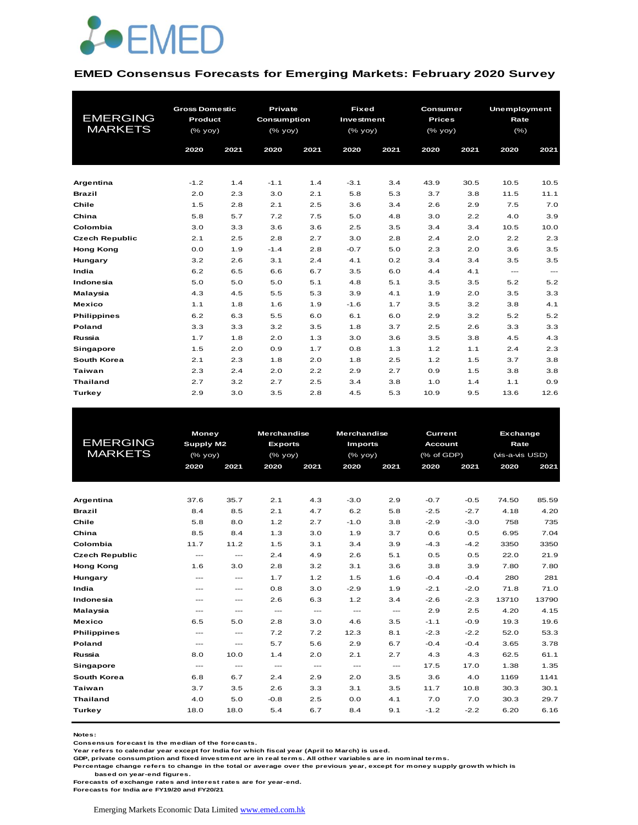

#### **EMED Consensus Forecasts for Emerging Markets: February 2020 Survey**

| <b>EMERGING</b><br><b>MARKETS</b> | <b>Gross Domestic</b><br>Product<br>(% yoy) |      | <b>Private</b><br>Consumption<br>(% yoy) |      | <b>Fixed</b><br>Investment<br>(% yoy) |      | Consumer<br><b>Prices</b><br>(% yoy) |      | Unemployment<br>Rate<br>$(\% )$ |                                     |
|-----------------------------------|---------------------------------------------|------|------------------------------------------|------|---------------------------------------|------|--------------------------------------|------|---------------------------------|-------------------------------------|
|                                   | 2020                                        | 2021 | 2020                                     | 2021 | 2020                                  | 2021 | 2020                                 | 2021 | 2020                            | 2021                                |
|                                   |                                             |      |                                          |      |                                       |      |                                      |      |                                 |                                     |
| Argentina                         | $-1.2$                                      | 1.4  | $-1.1$                                   | 1.4  | $-3.1$                                | 3.4  | 43.9                                 | 30.5 | 10.5                            | 10.5                                |
| <b>Brazil</b>                     | 2.0                                         | 2.3  | 3.0                                      | 2.1  | 5.8                                   | 5.3  | 3.7                                  | 3.8  | 11.5                            | 11.1                                |
| Chile                             | 1.5                                         | 2.8  | 2.1                                      | 2.5  | 3.6                                   | 3.4  | 2.6                                  | 2.9  | 7.5                             | 7.0                                 |
| China                             | 5.8                                         | 5.7  | 7.2                                      | 7.5  | 5.0                                   | 4.8  | 3.0                                  | 2.2  | 4.0                             | 3.9                                 |
| Colombia                          | 3.0                                         | 3.3  | 3.6                                      | 3.6  | 2.5                                   | 3.5  | 3.4                                  | 3.4  | 10.5                            | 10.0                                |
| <b>Czech Republic</b>             | 2.1                                         | 2.5  | 2.8                                      | 2.7  | 3.0                                   | 2.8  | 2.4                                  | 2.0  | 2.2                             | 2.3                                 |
| <b>Hong Kong</b>                  | 0.0                                         | 1.9  | $-1.4$                                   | 2.8  | $-0.7$                                | 5.0  | 2.3                                  | 2.0  | 3.6                             | 3.5                                 |
| Hungary                           | 3.2                                         | 2.6  | 3.1                                      | 2.4  | 4.1                                   | 0.2  | 3.4                                  | 3.4  | 3.5                             | 3.5                                 |
| India                             | 6.2                                         | 6.5  | 6.6                                      | 6.7  | 3.5                                   | 6.0  | 4.4                                  | 4.1  | $\frac{1}{2}$                   | $\hspace{0.05cm}---\hspace{0.05cm}$ |
| Indonesia                         | 5.0                                         | 5.0  | 5.0                                      | 5.1  | 4.8                                   | 5.1  | 3.5                                  | 3.5  | 5.2                             | 5.2                                 |
| Malaysia                          | 4.3                                         | 4.5  | 5.5                                      | 5.3  | 3.9                                   | 4.1  | 1.9                                  | 2.0  | 3.5                             | 3.3                                 |
| <b>Mexico</b>                     | 1.1                                         | 1.8  | 1.6                                      | 1.9  | $-1.6$                                | 1.7  | 3.5                                  | 3.2  | 3.8                             | 4.1                                 |
| <b>Philippines</b>                | 6.2                                         | 6.3  | 5.5                                      | 6.0  | 6.1                                   | 6.0  | 2.9                                  | 3.2  | 5.2                             | 5.2                                 |
| Poland                            | 3.3                                         | 3.3  | 3.2                                      | 3.5  | 1.8                                   | 3.7  | 2.5                                  | 2.6  | 3.3                             | 3.3                                 |
| Russia                            | 1.7                                         | 1.8  | 2.0                                      | 1.3  | 3.0                                   | 3.6  | 3.5                                  | 3.8  | 4.5                             | 4.3                                 |
| Singapore                         | 1.5                                         | 2.0  | 0.9                                      | 1.7  | 0.8                                   | 1.3  | 1.2                                  | 1.1  | 2.4                             | 2.3                                 |
| South Korea                       | 2.1                                         | 2.3  | 1.8                                      | 2.0  | 1.8                                   | 2.5  | 1.2                                  | 1.5  | 3.7                             | 3.8                                 |
| <b>Taiwan</b>                     | 2.3                                         | 2.4  | 2.0                                      | 2.2  | 2.9                                   | 2.7  | 0.9                                  | 1.5  | 3.8                             | 3.8                                 |
| <b>Thailand</b>                   | 2.7                                         | 3.2  | 2.7                                      | 2.5  | 3.4                                   | 3.8  | 1.0                                  | 1.4  | 1.1                             | 0.9                                 |
| Turkey                            | 2.9                                         | 3.0  | 3.5                                      | 2.8  | 4.5                                   | 5.3  | 10.9                                 | 9.5  | 13.6                            | 12.6                                |

|                       | <b>Money</b>             |                        | <b>Merchandise</b> |               | <b>Merchandise</b>                  |               | Current        |        |                                                                                                                                                                    |       |
|-----------------------|--------------------------|------------------------|--------------------|---------------|-------------------------------------|---------------|----------------|--------|--------------------------------------------------------------------------------------------------------------------------------------------------------------------|-------|
| <b>EMERGING</b>       | Supply M2                |                        | <b>Exports</b>     |               | <b>Imports</b>                      |               | <b>Account</b> |        | <b>Exchange</b><br>Rate<br>(vis-a-vis USD)<br>2020<br>2021<br>74.50<br>4.18<br>758<br>6.95<br>3350<br>22.0<br>7.80<br>280<br>71.8<br>13710<br>4.20<br>19.3<br>52.0 |       |
| <b>MARKETS</b>        |                          | (% yoy)                |                    | $(%$ (% yoy)  | (% yoy)                             |               | (% of GDP)     |        |                                                                                                                                                                    |       |
|                       | 2020                     | 2021                   | 2020               | 2021          | 2020                                | 2021          | 2020           | 2021   |                                                                                                                                                                    |       |
|                       |                          |                        |                    |               |                                     |               |                |        |                                                                                                                                                                    |       |
|                       |                          |                        |                    |               |                                     |               |                |        |                                                                                                                                                                    |       |
| Argentina             | 37.6                     | 35.7                   | 2.1                | 4.3           | $-3.0$                              | 2.9           | $-0.7$         | $-0.5$ |                                                                                                                                                                    | 85.59 |
| <b>Brazil</b>         | 8.4                      | 8.5                    | 2.1                | 4.7           | 6.2                                 | 5.8           | $-2.5$         | $-2.7$ |                                                                                                                                                                    | 4.20  |
| Chile                 | 5.8                      | 8.0                    | 1.2                | 2.7           | $-1.0$                              | 3.8           | $-2.9$         | $-3.0$ |                                                                                                                                                                    | 735   |
| China                 | 8.5                      | 8.4                    | 1.3                | 3.0           | 1.9                                 | 3.7           | 0.6            | 0.5    |                                                                                                                                                                    | 7.04  |
| Colombia              | 11.7                     | 11.2                   | 1.5                | 3.1           | 3.4                                 | 3.9           | $-4.3$         | $-4.2$ |                                                                                                                                                                    | 3350  |
| <b>Czech Republic</b> | $\hspace{0.05cm} \ldots$ | $\cdots$               | 2.4                | 4.9           | 2.6                                 | 5.1           | 0.5            | 0.5    |                                                                                                                                                                    | 21.9  |
| <b>Hong Kong</b>      | 1.6                      | 3.0                    | 2.8                | 3.2           | 3.1                                 | 3.6           | 3.8            | 3.9    |                                                                                                                                                                    | 7.80  |
| Hungary               | $---$                    | ---                    | 1.7                | 1.2           | 1.5                                 | 1.6           | $-0.4$         | $-0.4$ |                                                                                                                                                                    | 281   |
| India                 | ---                      | $---$                  | 0.8                | 3.0           | $-2.9$                              | 1.9           | $-2.1$         | $-2.0$ |                                                                                                                                                                    | 71.0  |
| Indonesia             | $---$                    | $---$                  | 2.6                | 6.3           | 1.2                                 | 3.4           | $-2.6$         | $-2.3$ |                                                                                                                                                                    | 13790 |
| Malaysia              | $---$                    | ---                    | $\frac{1}{2}$      | $\frac{1}{2}$ | $\frac{1}{2}$                       | $\frac{1}{2}$ | 2.9            | 2.5    |                                                                                                                                                                    | 4.15  |
| <b>Mexico</b>         | 6.5                      | 5.0                    | 2.8                | 3.0           | 4.6                                 | 3.5           | $-1.1$         | $-0.9$ |                                                                                                                                                                    | 19.6  |
| <b>Philippines</b>    | $\cdots$                 | $\qquad \qquad \cdots$ | 7.2                | 7.2           | 12.3                                | 8.1           | $-2.3$         | $-2.2$ |                                                                                                                                                                    | 53.3  |
| <b>Poland</b>         | $\hspace{0.05cm} \ldots$ | ---                    | 5.7                | 5.6           | 2.9                                 | 6.7           | $-0.4$         | $-0.4$ | 3.65                                                                                                                                                               | 3.78  |
| Russia                | 8.0                      | 10.0                   | 1.4                | 2.0           | 2.1                                 | 2.7           | 4.3            | 4.3    | 62.5                                                                                                                                                               | 61.1  |
| <b>Singapore</b>      | $---$                    | $---$                  | $\cdots$           | $\cdots$      | $\hspace{0.05cm}---\hspace{0.05cm}$ | ---           | 17.5           | 17.0   | 1.38                                                                                                                                                               | 1.35  |
| South Korea           | 6.8                      | 6.7                    | 2.4                | 2.9           | 2.0                                 | 3.5           | 3.6            | 4.0    | 1169                                                                                                                                                               | 1141  |
| Taiwan                | 3.7                      | 3.5                    | 2.6                | 3.3           | 3.1                                 | 3.5           | 11.7           | 10.8   | 30.3                                                                                                                                                               | 30.1  |
| <b>Thailand</b>       | 4.0                      | 5.0                    | $-0.8$             | 2.5           | 0.0                                 | 4.1           | 7.0            | 7.0    | 30.3                                                                                                                                                               | 29.7  |
| Turkey                | 18.0                     | 18.0                   | 5.4                | 6.7           | 8.4                                 | 9.1           | $-1.2$         | $-2.2$ | 6.20                                                                                                                                                               | 6.16  |
|                       |                          |                        |                    |               |                                     |               |                |        |                                                                                                                                                                    |       |

**Notes:** 

**Consensus forecast is the median of the forecasts.**

**Year refers to calendar year except for India for which fiscal year (April to March) is used.**

**GDP, private consumption and fixed investment are in real terms. All other variables are in nominal terms.**

**Percentage change refers to change in the total or average over the previous year, except for money supply growth which is** 

 **based on year-end figures.**

**Forecasts of exchange rates and interest rates are for year-end.**

**Forecasts for India are FY19/20 and FY20/21**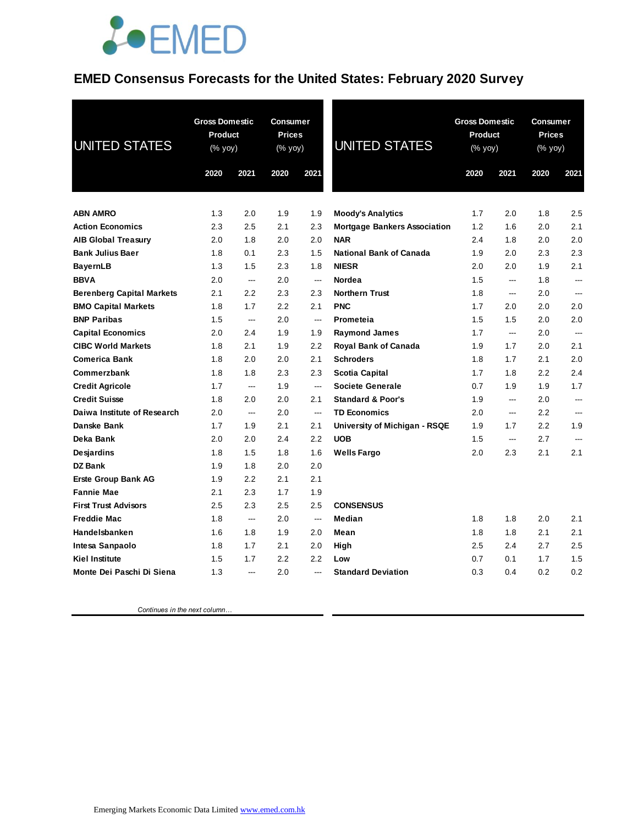## **JOEMED**

#### **EMED Consensus Forecasts for the United States: February 2020 Survey**

| <b>UNITED STATES</b>             | <b>Gross Domestic</b><br>Product<br>(% yoy) |                          | Consumer<br><b>Prices</b><br>(% yoy) |                          | <b>UNITED STATES</b>                        | <b>Gross Domestic</b><br>Product<br>(% yoy) |            | <b>Consumer</b><br><b>Prices</b><br>(% yoy) |                |
|----------------------------------|---------------------------------------------|--------------------------|--------------------------------------|--------------------------|---------------------------------------------|---------------------------------------------|------------|---------------------------------------------|----------------|
|                                  | 2020                                        | 2021                     | 2020                                 | 2021                     |                                             | 2020                                        | 2021       | 2020                                        | 2021           |
|                                  |                                             |                          |                                      |                          |                                             |                                             |            |                                             |                |
| <b>ABN AMRO</b>                  | 1.3                                         | 2.0                      | 1.9                                  | 1.9                      | <b>Moody's Analytics</b>                    | 1.7                                         | 2.0        | 1.8                                         | 2.5            |
| <b>Action Economics</b>          | 2.3                                         | 2.5                      | 2.1                                  | 2.3                      | <b>Mortgage Bankers Association</b>         | 1.2                                         | 1.6        | 2.0                                         | 2.1            |
| <b>AIB Global Treasury</b>       | 2.0                                         | 1.8                      | 2.0                                  | 2.0                      | <b>NAR</b>                                  | 2.4                                         | 1.8        | 2.0                                         | 2.0            |
| <b>Bank Julius Baer</b>          | 1.8                                         | 0.1                      | 2.3                                  | 1.5                      | <b>National Bank of Canada</b>              | 1.9                                         | 2.0        | 2.3                                         | 2.3            |
| <b>BayernLB</b>                  | 1.3                                         | 1.5                      | 2.3                                  | 1.8                      | <b>NIESR</b>                                | 2.0                                         | 2.0        | 1.9                                         | 2.1            |
| <b>BBVA</b>                      | 2.0                                         | $\hspace{0.05cm} \ldots$ | 2.0                                  | ---                      | Nordea                                      | 1.5                                         | ---        | 1.8                                         | $\overline{a}$ |
| <b>Berenberg Capital Markets</b> | 2.1                                         | 2.2                      | 2.3                                  | 2.3                      | <b>Northern Trust</b>                       | 1.8                                         | ---        | 2.0                                         | ---            |
| <b>BMO Capital Markets</b>       | 1.8                                         | 1.7                      | 2.2                                  | 2.1                      | <b>PNC</b>                                  | 1.7                                         | 2.0        | 2.0                                         | 2.0            |
| <b>BNP Paribas</b>               | 1.5                                         | $\overline{\phantom{a}}$ | 2.0                                  | ---                      | Prometeia                                   | 1.5                                         | 1.5        | 2.0                                         | 2.0            |
| <b>Capital Economics</b>         | 2.0                                         | 2.4                      | 1.9                                  | 1.9                      | <b>Raymond James</b>                        | 1.7                                         | ---        | 2.0                                         | ---            |
| <b>CIBC World Markets</b>        | 1.8                                         | 2.1                      | 1.9                                  | 2.2                      | Royal Bank of Canada                        | 1.9                                         | 1.7        | 2.0                                         | 2.1            |
| <b>Comerica Bank</b>             | 1.8                                         | 2.0                      | 2.0                                  | 2.1                      | <b>Schroders</b>                            | 1.8                                         | 1.7        | 2.1                                         | 2.0            |
| Commerzbank                      | 1.8                                         | 1.8                      | 2.3                                  | 2.3                      | Scotia Capital                              | 1.7                                         | 1.8        | 2.2                                         | 2.4            |
| <b>Credit Agricole</b>           | 1.7                                         | $\overline{a}$           | 1.9                                  | $\overline{a}$           | <b>Societe Generale</b>                     | 0.7                                         | 1.9        | 1.9                                         | 1.7            |
| <b>Credit Suisse</b>             | 1.8                                         | 2.0                      | 2.0                                  | 2.1                      | <b>Standard &amp; Poor's</b>                | 1.9                                         | ---        | 2.0                                         | ---            |
| Daiwa Institute of Research      | 2.0                                         | ---                      | 2.0                                  | ---                      | <b>TD Economics</b>                         | 2.0                                         | ---        | 2.2                                         | ---            |
| Danske Bank                      | 1.7<br>2.0                                  | 1.9<br>2.0               | 2.1<br>2.4                           | 2.1<br>2.2               | University of Michigan - RSQE<br><b>UOB</b> | 1.9<br>1.5                                  | 1.7<br>--- | 2.2<br>2.7                                  | 1.9<br>$---$   |
| Deka Bank                        | 1.8                                         | 1.5                      | 1.8                                  | 1.6                      |                                             | 2.0                                         | 2.3        | 2.1                                         | 2.1            |
| Desjardins<br><b>DZ Bank</b>     | 1.9                                         | 1.8                      | 2.0                                  | 2.0                      | <b>Wells Fargo</b>                          |                                             |            |                                             |                |
| <b>Erste Group Bank AG</b>       | 1.9                                         | 2.2                      | 2.1                                  | 2.1                      |                                             |                                             |            |                                             |                |
| <b>Fannie Mae</b>                | 2.1                                         | 2.3                      | 1.7                                  | 1.9                      |                                             |                                             |            |                                             |                |
| <b>First Trust Advisors</b>      | 2.5                                         | 2.3                      | 2.5                                  | 2.5                      | <b>CONSENSUS</b>                            |                                             |            |                                             |                |
| <b>Freddie Mac</b>               | 1.8                                         | $\hspace{0.05cm} \ldots$ | 2.0                                  | $\hspace{0.05cm} \ldots$ | Median                                      | 1.8                                         | 1.8        | 2.0                                         | 2.1            |
| Handelsbanken                    | 1.6                                         | 1.8                      | 1.9                                  | 2.0                      | Mean                                        | 1.8                                         | 1.8        | 2.1                                         | 2.1            |
| Intesa Sanpaolo                  | 1.8                                         | 1.7                      | 2.1                                  | 2.0                      | High                                        | 2.5                                         | 2.4        | 2.7                                         | 2.5            |
| <b>Kiel Institute</b>            | 1.5                                         | 1.7                      | 2.2                                  | 2.2                      | Low                                         | 0.7                                         | 0.1        | 1.7                                         | 1.5            |
| Monte Dei Paschi Di Siena        | 1.3                                         | ---                      | 2.0                                  | ---                      | <b>Standard Deviation</b>                   | 0.3                                         | 0.4        | 0.2                                         | 0.2            |

 *Continues in the next column…*

Emerging Markets Economic Data Limited www.emed.com.hk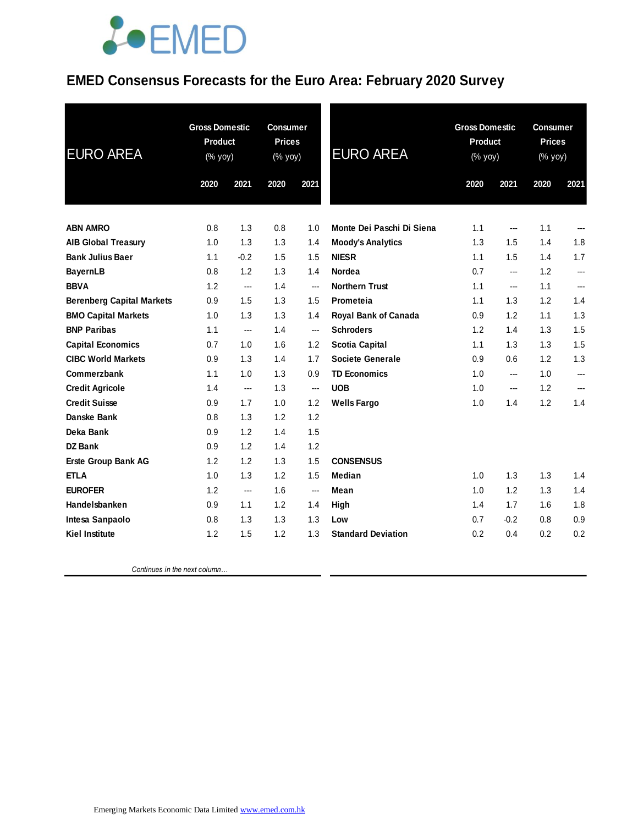## **JOEMED**

### **EMED Consensus Forecasts for the Euro Area: February 2020 Survey**

| <b>EURO AREA</b>                 | <b>Gross Domestic</b><br>Product<br>(% yoy) |        | <b>Consumer</b><br><b>Prices</b><br>(% yoy) |                          | <b>EURO AREA</b>          | <b>Gross Domestic</b><br>Product<br>(% yoy) |                        | <b>Consumer</b><br><b>Prices</b><br>(% yoy) |       |
|----------------------------------|---------------------------------------------|--------|---------------------------------------------|--------------------------|---------------------------|---------------------------------------------|------------------------|---------------------------------------------|-------|
|                                  | 2020                                        | 2021   | 2020                                        | 2021                     |                           | 2020                                        | 2021                   | 2020                                        | 2021  |
| <b>ABN AMRO</b>                  | 0.8                                         | 1.3    | 0.8                                         | 1.0                      | Monte Dei Paschi Di Siena | 1.1                                         | $\qquad \qquad \cdots$ | 1.1                                         | $---$ |
| <b>AIB Global Treasury</b>       | 1.0                                         | 1.3    | 1.3                                         | 1.4                      | <b>Moody's Analytics</b>  | 1.3                                         | 1.5                    | 1.4                                         | 1.8   |
| <b>Bank Julius Baer</b>          | 1.1                                         | $-0.2$ | 1.5                                         | 1.5                      | <b>NIESR</b>              | 1.1                                         | 1.5                    | 1.4                                         | 1.7   |
| <b>BayernLB</b>                  | 0.8                                         | 1.2    | 1.3                                         | 1.4                      | Nordea                    | 0.7                                         | ---                    | 1.2                                         | ---   |
| <b>BBVA</b>                      | 1.2                                         | ---    | 1.4                                         | $\overline{\phantom{a}}$ | <b>Northern Trust</b>     | 1.1                                         | ---                    | 1.1                                         | ---   |
| <b>Berenberg Capital Markets</b> | 0.9                                         | 1.5    | 1.3                                         | 1.5                      | Prometeia                 | 1.1                                         | 1.3                    | 1.2                                         | 1.4   |
| <b>BMO Capital Markets</b>       | 1.0                                         | 1.3    | 1.3                                         | 1.4                      | Royal Bank of Canada      | 0.9                                         | 1.2                    | 1.1                                         | 1.3   |
| <b>BNP Paribas</b>               | 1.1                                         | ---    | 1.4                                         | ---                      | <b>Schroders</b>          | 1.2                                         | 1.4                    | 1.3                                         | 1.5   |
| <b>Capital Economics</b>         | 0.7                                         | 1.0    | 1.6                                         | 1.2                      | <b>Scotia Capital</b>     | 1.1                                         | 1.3                    | 1.3                                         | 1.5   |
| <b>CIBC World Markets</b>        | 0.9                                         | 1.3    | 1.4                                         | 1.7                      | <b>Societe Generale</b>   | 0.9                                         | 0.6                    | 1.2                                         | 1.3   |
| Commerzbank                      | 1.1                                         | 1.0    | 1.3                                         | 0.9                      | <b>TD Economics</b>       | 1.0                                         | ---                    | 1.0                                         | ---   |
| <b>Credit Agricole</b>           | 1.4                                         | ---    | 1.3                                         | ---                      | <b>UOB</b>                | 1.0                                         | $\qquad \qquad \cdots$ | 1.2                                         | ---   |
| <b>Credit Suisse</b>             | 0.9                                         | 1.7    | 1.0                                         | 1.2                      | <b>Wells Fargo</b>        | 1.0                                         | 1.4                    | 1.2                                         | 1.4   |
| Danske Bank                      | 0.8                                         | 1.3    | 1.2                                         | 1.2                      |                           |                                             |                        |                                             |       |
| Deka Bank                        | 0.9                                         | 1.2    | 1.4                                         | 1.5                      |                           |                                             |                        |                                             |       |
| <b>DZ Bank</b>                   | 0.9                                         | 1.2    | 1.4                                         | 1.2                      |                           |                                             |                        |                                             |       |
| Erste Group Bank AG              | 1.2                                         | 1.2    | 1.3                                         | 1.5                      | <b>CONSENSUS</b>          |                                             |                        |                                             |       |
| <b>ETLA</b>                      | 1.0                                         | 1.3    | 1.2                                         | 1.5                      | Median                    | 1.0                                         | 1.3                    | 1.3                                         | 1.4   |
| <b>EUROFER</b>                   | 1.2                                         | ---    | 1.6                                         | ---                      | Mean                      | 1.0                                         | 1.2                    | 1.3                                         | 1.4   |
| Handelsbanken                    | 0.9                                         | 1.1    | 1.2                                         | 1.4                      | High                      | 1.4                                         | 1.7                    | 1.6                                         | 1.8   |
| Intesa Sanpaolo                  | 0.8                                         | 1.3    | 1.3                                         | 1.3                      | Low                       | 0.7                                         | $-0.2$                 | 0.8                                         | 0.9   |
| <b>Kiel Institute</b>            | 1.2                                         | 1.5    | 1.2                                         | 1.3                      | <b>Standard Deviation</b> | 0.2                                         | 0.4                    | 0.2                                         | 0.2   |
|                                  |                                             |        |                                             |                          |                           |                                             |                        |                                             |       |

 *Continues in the next column…*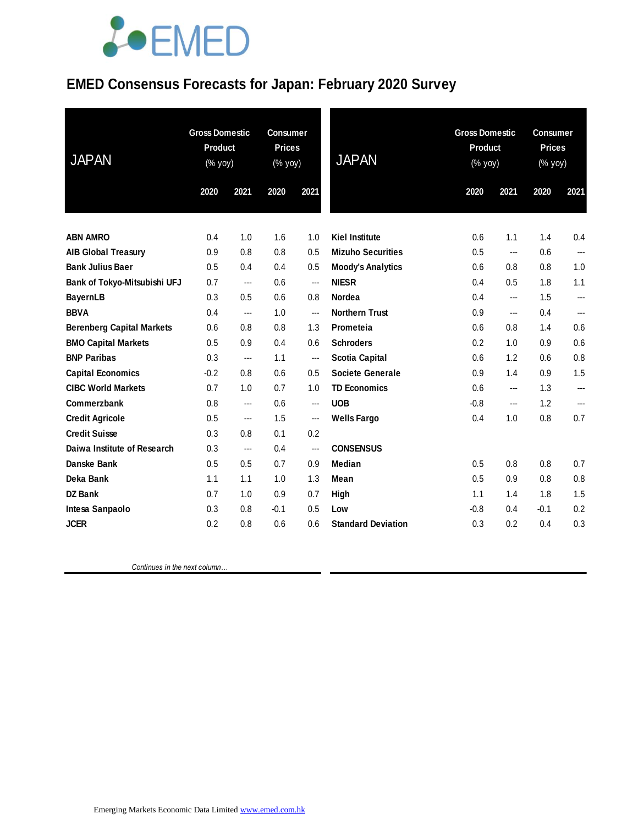# LOEMED

### **EMED Consensus Forecasts for Japan: February 2020 Survey**

| <b>JAPAN</b>                     | <b>Gross Domestic</b><br>Product<br>(% yoy) |      | <b>Consumer</b><br><b>Prices</b><br>$(\%$ yoy) |                | <b>JAPAN</b>              | <b>Gross Domestic</b><br>Product<br>(% yoy) |      | <b>Consumer</b><br><b>Prices</b><br>(% yoy) |      |
|----------------------------------|---------------------------------------------|------|------------------------------------------------|----------------|---------------------------|---------------------------------------------|------|---------------------------------------------|------|
|                                  | 2020                                        | 2021 | 2020                                           | 2021           |                           | 2020                                        | 2021 | 2020                                        | 2021 |
|                                  |                                             |      |                                                |                |                           |                                             |      |                                             |      |
| <b>ABN AMRO</b>                  | 0.4                                         | 1.0  | 1.6                                            | 1.0            | <b>Kiel Institute</b>     | 0.6                                         | 1.1  | 1.4                                         | 0.4  |
| <b>AIB Global Treasury</b>       | 0.9                                         | 0.8  | 0.8                                            | 0.5            | <b>Mizuho Securities</b>  | 0.5                                         | ---  | 0.6                                         | ---  |
| <b>Bank Julius Baer</b>          | 0.5                                         | 0.4  | 0.4                                            | 0.5            | <b>Moody's Analytics</b>  | 0.6                                         | 0.8  | 0.8                                         | 1.0  |
| Bank of Tokyo-Mitsubishi UFJ     | 0.7                                         | ---  | 0.6                                            | ---            | <b>NIESR</b>              | 0.4                                         | 0.5  | 1.8                                         | 1.1  |
| <b>BayernLB</b>                  | 0.3                                         | 0.5  | 0.6                                            | 0.8            | <b>Nordea</b>             | 0.4                                         | ---  | 1.5                                         | ---  |
| <b>BBVA</b>                      | 0.4                                         | ---  | 1.0                                            | ---            | <b>Northern Trust</b>     | 0.9                                         | ---  | 0.4                                         | ---  |
| <b>Berenberg Capital Markets</b> | 0.6                                         | 0.8  | 0.8                                            | 1.3            | Prometeia                 | 0.6                                         | 0.8  | 1.4                                         | 0.6  |
| <b>BMO Capital Markets</b>       | 0.5                                         | 0.9  | 0.4                                            | 0.6            | <b>Schroders</b>          | 0.2                                         | 1.0  | 0.9                                         | 0.6  |
| <b>BNP Paribas</b>               | 0.3                                         | ---  | 1.1                                            | $\overline{a}$ | <b>Scotia Capital</b>     | 0.6                                         | 1.2  | 0.6                                         | 0.8  |
| <b>Capital Economics</b>         | $-0.2$                                      | 0.8  | 0.6                                            | 0.5            | Societe Generale          | 0.9                                         | 1.4  | 0.9                                         | 1.5  |
| <b>CIBC World Markets</b>        | 0.7                                         | 1.0  | 0.7                                            | 1.0            | <b>TD Economics</b>       | 0.6                                         | ---  | 1.3                                         | ---  |
| Commerzbank                      | 0.8                                         | ---  | 0.6                                            | $\overline{a}$ | <b>UOB</b>                | $-0.8$                                      | ---  | 1.2                                         | ---  |
| <b>Credit Agricole</b>           | 0.5                                         | ---  | 1.5                                            | $\overline{a}$ | <b>Wells Fargo</b>        | 0.4                                         | 1.0  | 0.8                                         | 0.7  |
| <b>Credit Suisse</b>             | 0.3                                         | 0.8  | 0.1                                            | 0.2            |                           |                                             |      |                                             |      |
| Daiwa Institute of Research      | 0.3                                         | ---  | 0.4                                            | ---            | <b>CONSENSUS</b>          |                                             |      |                                             |      |
| <b>Danske Bank</b>               | 0.5                                         | 0.5  | 0.7                                            | 0.9            | <b>Median</b>             | 0.5                                         | 0.8  | 0.8                                         | 0.7  |
| Deka Bank                        | 1.1                                         | 1.1  | 1.0                                            | 1.3            | Mean                      | 0.5                                         | 0.9  | 0.8                                         | 0.8  |
| <b>DZ Bank</b>                   | 0.7                                         | 1.0  | 0.9                                            | 0.7            | High                      | 1.1                                         | 1.4  | 1.8                                         | 1.5  |
| Intesa Sanpaolo                  | 0.3                                         | 0.8  | $-0.1$                                         | 0.5            | Low                       | $-0.8$                                      | 0.4  | $-0.1$                                      | 0.2  |
| <b>JCER</b>                      | 0.2                                         | 0.8  | 0.6                                            | 0.6            | <b>Standard Deviation</b> | 0.3                                         | 0.2  | 0.4                                         | 0.3  |

 *Continues in the next column…*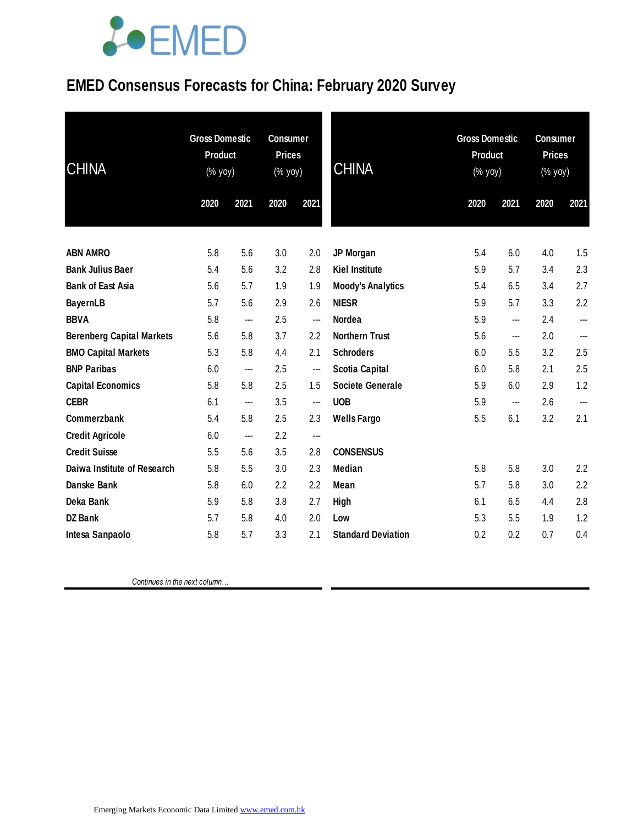# **JOEMED**

### **EMED Consensus Forecasts for China: February 2020 Survey**

| <b>CHINA</b>                     | <b>Gross Domestic</b><br><b>Product</b><br>(% yoy) |      | <b>Consumer</b><br><b>Prices</b><br>(% yoy) |                          | <b>CHINA</b>              | <b>Gross Domestic</b><br><b>Product</b><br>$(\%$ yoy) |                          | <b>Consumer</b><br><b>Prices</b><br>(% yoy) |      |
|----------------------------------|----------------------------------------------------|------|---------------------------------------------|--------------------------|---------------------------|-------------------------------------------------------|--------------------------|---------------------------------------------|------|
|                                  | 2020                                               | 2021 | 2020                                        | 2021                     |                           | 2020                                                  | 2021                     | 2020                                        | 2021 |
| <b>ABN AMRO</b>                  | 5.8                                                | 5.6  | 3.0                                         | 2.0                      | JP Morgan                 | 5.4                                                   | 6.0                      | 4.0                                         | 1.5  |
| <b>Bank Julius Baer</b>          | 5.4                                                | 5.6  | 3.2                                         | 2.8                      | <b>Kiel Institute</b>     | 5.9                                                   | 5.7                      | 3.4                                         | 2.3  |
| <b>Bank of East Asia</b>         | 5.6                                                | 5.7  | 1.9                                         | 1.9                      | <b>Moody's Analytics</b>  | 5.4                                                   | 6.5                      | 3.4                                         | 2.7  |
| <b>BayernLB</b>                  | 5.7                                                | 5.6  | 2.9                                         | 2.6                      | <b>NIESR</b>              | 5.9                                                   | 5.7                      | 3.3                                         | 2.2  |
| <b>BBVA</b>                      | 5.8                                                | ---  | 2.5                                         | ---                      | Nordea                    | 5.9                                                   | ---                      | 2.4                                         | ---  |
| <b>Berenberg Capital Markets</b> | 5.6                                                | 5.8  | 3.7                                         | 2.2                      | <b>Northern Trust</b>     | 5.6                                                   | ---                      | 2.0                                         | ---  |
| <b>BMO Capital Markets</b>       | 5.3                                                | 5.8  | 4.4                                         | 2.1                      | <b>Schroders</b>          | 6.0                                                   | 5.5                      | 3.2                                         | 2.5  |
| <b>BNP Paribas</b>               | 6.0                                                | ---  | 2.5                                         | ---                      | <b>Scotia Capital</b>     | 6.0                                                   | 5.8                      | 2.1                                         | 2.5  |
| <b>Capital Economics</b>         | 5.8                                                | 5.8  | 2.5                                         | 1.5                      | <b>Societe Generale</b>   | 5.9                                                   | 6.0                      | 2.9                                         | 1.2  |
| <b>CEBR</b>                      | 6.1                                                | ---  | 3.5                                         | ---                      | <b>UOB</b>                | 5.9                                                   | $\overline{\phantom{a}}$ | 2.6                                         | ---  |
| Commerzbank                      | 5.4                                                | 5.8  | 2.5                                         | 2.3                      | <b>Wells Fargo</b>        | 5.5                                                   | 6.1                      | 3.2                                         | 2.1  |
| <b>Credit Agricole</b>           | 6.0                                                | ---  | 2.2                                         | $\overline{\phantom{a}}$ |                           |                                                       |                          |                                             |      |
| <b>Credit Suisse</b>             | 5.5                                                | 5.6  | 3.5                                         | 2.8                      | <b>CONSENSUS</b>          |                                                       |                          |                                             |      |
| Daiwa Institute of Research      | 5.8                                                | 5.5  | 3.0                                         | 2.3                      | <b>Median</b>             | 5.8                                                   | 5.8                      | 3.0                                         | 2.2  |
| <b>Danske Bank</b>               | 5.8                                                | 6.0  | 2.2                                         | 2.2                      | Mean                      | 5.7                                                   | 5.8                      | 3.0                                         | 2.2  |
| Deka Bank                        | 5.9                                                | 5.8  | 3.8                                         | 2.7                      | High                      | 6.1                                                   | 6.5                      | 4.4                                         | 2.8  |
| <b>DZ Bank</b>                   | 5.7                                                | 5.8  | 4.0                                         | 2.0                      | Low                       | 5.3                                                   | 5.5                      | 1.9                                         | 1.2  |
| Intesa Sanpaolo                  | 5.8                                                | 5.7  | 3.3                                         | 2.1                      | <b>Standard Deviation</b> | 0.2                                                   | 0.2                      | 0.7                                         | 0.4  |

 *Continues in the next column…*